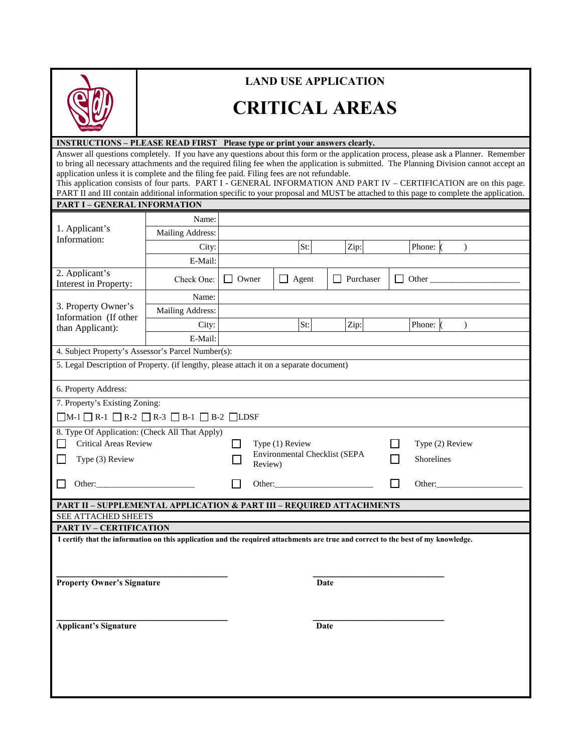

### **LAND USE APPLICATION**

# **CRITICAL AREAS**

#### **INSTRUCTIONS – PLEASE READ FIRST Please type or print your answers clearly.**

Answer all questions completely. If you have any questions about this form or the application process, please ask a Planner. Remember to bring all necessary attachments and the required filing fee when the application is submitted. The Planning Division cannot accept an application unless it is complete and the filing fee paid. Filing fees are not refundable.

This application consists of four parts. PART I - GENERAL INFORMATION AND PART IV – CERTIFICATION are on this page. PART II and III contain additional information specific to your proposal and MUST be attached to this page to complete the application. **PART I – GENERAL INFORMATION**

| PART I – GENEKAL INFUKMATION                                                                                                      |                  |                                                                  |  |              |                  |                               |              |               |
|-----------------------------------------------------------------------------------------------------------------------------------|------------------|------------------------------------------------------------------|--|--------------|------------------|-------------------------------|--------------|---------------|
| 1. Applicant's<br>Information:                                                                                                    | Name:            |                                                                  |  |              |                  |                               |              |               |
|                                                                                                                                   | Mailing Address: |                                                                  |  |              |                  |                               |              |               |
|                                                                                                                                   | City:            |                                                                  |  | St:          | Zip:             |                               | Phone: (     | $\mathcal{L}$ |
|                                                                                                                                   | E-Mail:          |                                                                  |  |              |                  |                               |              |               |
| 2. Applicant's<br>Interest in Property:                                                                                           | Check One:       | <b>Owner</b>                                                     |  | $\Box$ Agent | $\Box$ Purchaser |                               | $\Box$ Other |               |
| 3. Property Owner's<br>Information (If other<br>than Applicant):                                                                  | Name:            |                                                                  |  |              |                  |                               |              |               |
|                                                                                                                                   | Mailing Address: |                                                                  |  |              |                  |                               |              |               |
|                                                                                                                                   | City:            |                                                                  |  | St:          | Zip:             |                               | Phone: (     | $\lambda$     |
|                                                                                                                                   | E-Mail:          |                                                                  |  |              |                  |                               |              |               |
| 4. Subject Property's Assessor's Parcel Number(s):                                                                                |                  |                                                                  |  |              |                  |                               |              |               |
| 5. Legal Description of Property. (if lengthy, please attach it on a separate document)                                           |                  |                                                                  |  |              |                  |                               |              |               |
| 6. Property Address:                                                                                                              |                  |                                                                  |  |              |                  |                               |              |               |
| 7. Property's Existing Zoning:                                                                                                    |                  |                                                                  |  |              |                  |                               |              |               |
| $\Box M-1 \Box R-1 \Box R-2 \Box R-3 \Box B-1 \Box B-2 \Box LDSF$                                                                 |                  |                                                                  |  |              |                  |                               |              |               |
| 8. Type Of Application: (Check All That Apply)<br><b>Critical Areas Review</b><br>$\overline{\phantom{a}}$<br>Type (3) Review     |                  | Type (1) Review<br>П<br>Environmental Checklist (SEPA<br>Review) |  |              | ΙI               | Type (2) Review<br>Shorelines |              |               |
| Other:                                                                                                                            |                  |                                                                  |  | Other:       |                  | ΙI                            | Other:       |               |
| <b>PART II - SUPPLEMENTAL APPLICATION &amp; PART III - REQUIRED ATTACHMENTS</b>                                                   |                  |                                                                  |  |              |                  |                               |              |               |
| SEE ATTACHED SHEETS                                                                                                               |                  |                                                                  |  |              |                  |                               |              |               |
| <b>PART IV - CERTIFICATION</b>                                                                                                    |                  |                                                                  |  |              |                  |                               |              |               |
| I certify that the information on this application and the required attachments are true and correct to the best of my knowledge. |                  |                                                                  |  |              |                  |                               |              |               |
| <b>Property Owner's Signature</b>                                                                                                 |                  |                                                                  |  |              | Date             |                               |              |               |
| <b>Applicant's Signature</b><br>Date                                                                                              |                  |                                                                  |  |              |                  |                               |              |               |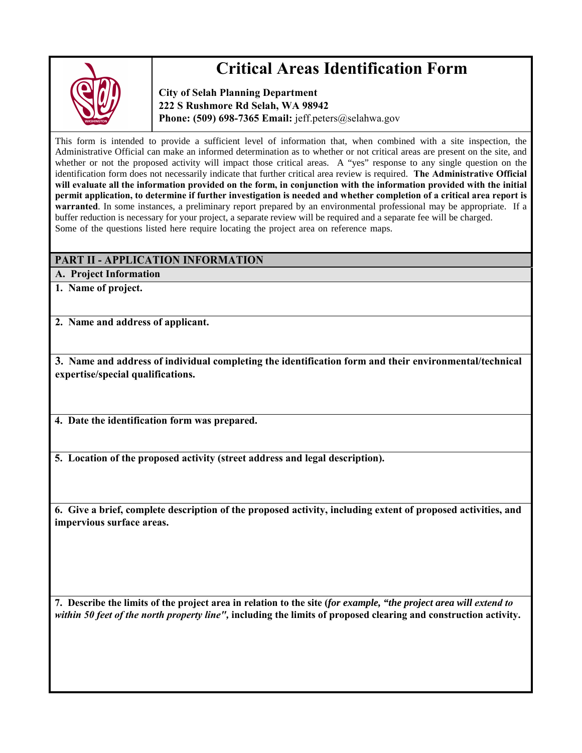

## **Critical Areas Identification Form**

**City of Selah Planning Department 222 S Rushmore Rd Selah, WA 98942** Phone: (509) 698-7365 Email: *jeff.peters@selahwa.gov* 

This form is intended to provide a sufficient level of information that, when combined with a site inspection, the Administrative Official can make an informed determination as to whether or not critical areas are present on the site, and whether or not the proposed activity will impact those critical areas. A "yes" response to any single question on the identification form does not necessarily indicate that further critical area review is required. **The Administrative Official will evaluate all the information provided on the form, in conjunction with the information provided with the initial permit application, to determine if further investigation is needed and whether completion of a critical area report is warranted**. In some instances, a preliminary report prepared by an environmental professional may be appropriate. If a buffer reduction is necessary for your project, a separate review will be required and a separate fee will be charged. Some of the questions listed here require locating the project area on reference maps.

#### **PART II - APPLICATION INFORMATION**

**A. Project Information**

**1. Name of project.**

**2. Name and address of applicant.**

**3. Name and address of individual completing the identification form and their environmental/technical expertise/special qualifications.**

**4. Date the identification form was prepared.**

**5. Location of the proposed activity (street address and legal description).**

**6. Give a brief, complete description of the proposed activity, including extent of proposed activities, and impervious surface areas.**

**7. Describe the limits of the project area in relation to the site (***for example, "the project area will extend to within 50 feet of the north property line",* **including the limits of proposed clearing and construction activity.**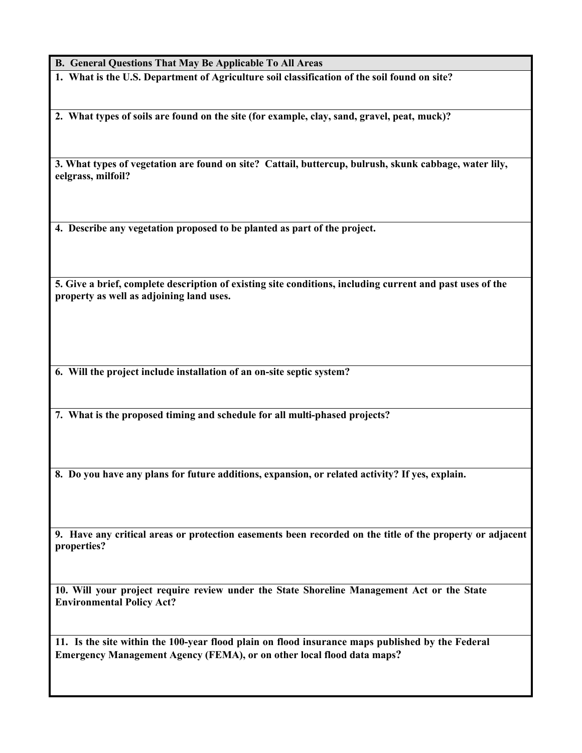**B. General Questions That May Be Applicable To All Areas**

**1. What is the U.S. Department of Agriculture soil classification of the soil found on site?**

**2. What types of soils are found on the site (for example, clay, sand, gravel, peat, muck)?**

**3. What types of vegetation are found on site? Cattail, buttercup, bulrush, skunk cabbage, water lily, eelgrass, milfoil?**

**4. Describe any vegetation proposed to be planted as part of the project.**

**5. Give a brief, complete description of existing site conditions, including current and past uses of the property as well as adjoining land uses.**

**6. Will the project include installation of an on-site septic system?**

**7. What is the proposed timing and schedule for all multi-phased projects?**

**8. Do you have any plans for future additions, expansion, or related activity? If yes, explain.**

**9. Have any critical areas or protection easements been recorded on the title of the property or adjacent properties?**

**10. Will your project require review under the State Shoreline Management Act or the State Environmental Policy Act?**

**11. Is the site within the 100-year flood plain on flood insurance maps published by the Federal Emergency Management Agency (FEMA), or on other local flood data maps?**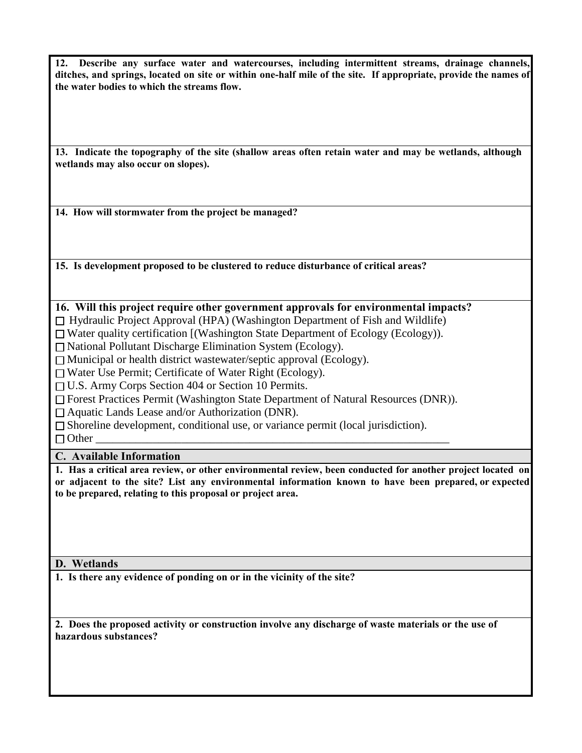**12. Describe any surface water and watercourses, including intermittent streams, drainage channels, ditches, and springs, located on site or within one-half mile of the site. If appropriate, provide the names of the water bodies to which the streams flow.**

**13. Indicate the topography of the site (shallow areas often retain water and may be wetlands, although wetlands may also occur on slopes).**

**14. How will stormwater from the project be managed?**

**15. Is development proposed to be clustered to reduce disturbance of critical areas?**

#### **16. Will this project require other government approvals for environmental impacts?**

 $\Box$  Hydraulic Project Approval (HPA) (Washington Department of Fish and Wildlife)

 $\Box$  Water quality certification [(Washington State Department of Ecology (Ecology)).

National Pollutant Discharge Elimination System (Ecology).

□ Municipal or health district wastewater/septic approval (Ecology).

Water Use Permit; Certificate of Water Right (Ecology).

U.S. Army Corps Section 404 or Section 10 Permits.

Forest Practices Permit (Washington State Department of Natural Resources (DNR)).

 $\Box$  Aquatic Lands Lease and/or Authorization (DNR).

 $\Box$  Shoreline development, conditional use, or variance permit (local jurisdiction).

Other \_\_\_\_\_\_\_\_\_\_\_\_\_\_\_\_\_\_\_\_\_\_\_\_\_\_\_\_\_\_\_\_\_\_\_\_\_\_\_\_\_\_\_\_\_\_\_\_\_\_\_\_\_\_\_\_\_\_\_\_\_\_

#### **C. Available Information**

**1. Has a critical area review, or other environmental review, been conducted for another project located on or adjacent to the site? List any environmental information known to have been prepared, or expected to be prepared, relating to this proposal or project area.**

#### **D. Wetlands**

**1. Is there any evidence of ponding on or in the vicinity of the site?**

**2. Does the proposed activity or construction involve any discharge of waste materials or the use of hazardous substances?**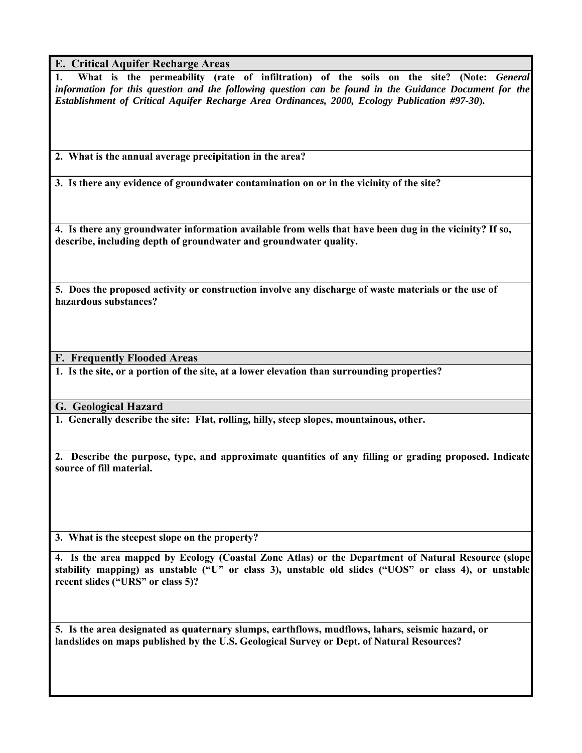**E. Critical Aquifer Recharge Areas**

**1. What is the permeability (rate of infiltration) of the soils on the site? (Note:** *General information for this question and the following question can be found in the Guidance Document for the Establishment of Critical Aquifer Recharge Area Ordinances, 2000, Ecology Publication #97-30***).**

**2. What is the annual average precipitation in the area?**

**3. Is there any evidence of groundwater contamination on or in the vicinity of the site?**

**4. Is there any groundwater information available from wells that have been dug in the vicinity? If so, describe, including depth of groundwater and groundwater quality.**

**5. Does the proposed activity or construction involve any discharge of waste materials or the use of hazardous substances?**

**F. Frequently Flooded Areas**

**1. Is the site, or a portion of the site, at a lower elevation than surrounding properties?**

**G. Geological Hazard**

**1. Generally describe the site: Flat, rolling, hilly, steep slopes, mountainous, other.**

**2. Describe the purpose, type, and approximate quantities of any filling or grading proposed. Indicate source of fill material.**

**3. What is the steepest slope on the property?**

**4. Is the area mapped by Ecology (Coastal Zone Atlas) or the Department of Natural Resource (slope stability mapping) as unstable ("U" or class 3), unstable old slides ("UOS" or class 4), or unstable recent slides ("URS" or class 5)?**

**5. Is the area designated as quaternary slumps, earthflows, mudflows, lahars, seismic hazard, or landslides on maps published by the U.S. Geological Survey or Dept. of Natural Resources?**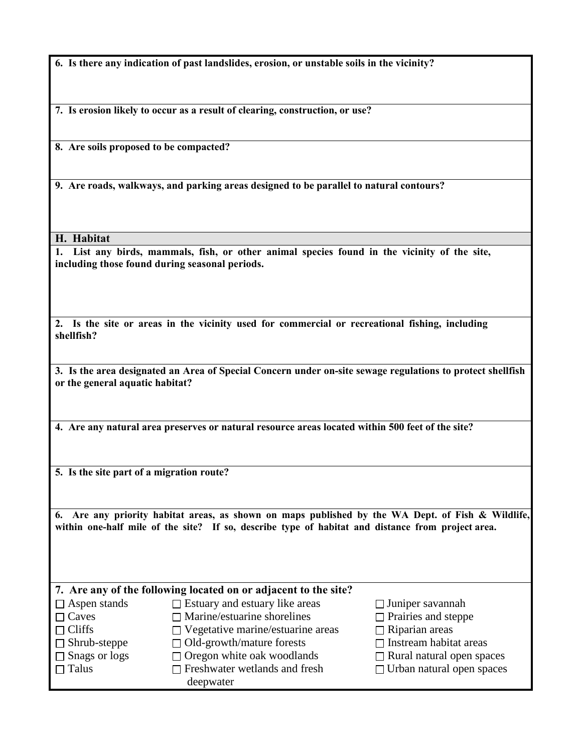**6. Is there any indication of past landslides, erosion, or unstable soils in the vicinity?**

**7. Is erosion likely to occur as a result of clearing, construction, or use?**

**8. Are soils proposed to be compacted?**

**9. Are roads, walkways, and parking areas designed to be parallel to natural contours?**

**H. Habitat**

**1. List any birds, mammals, fish, or other animal species found in the vicinity of the site, including those found during seasonal periods.**

**2. Is the site or areas in the vicinity used for commercial or recreational fishing, including shellfish?**

**3. Is the area designated an Area of Special Concern under on-site sewage regulations to protect shellfish or the general aquatic habitat?**

**4. Are any natural area preserves or natural resource areas located within 500 feet of the site?**

**5. Is the site part of a migration route?**

**6. Are any priority habitat areas, as shown on maps published by the WA Dept. of Fish & Wildlife, within one-half mile of the site? If so, describe type of habitat and distance from project area.**

| 7. Are any of the following located on or adjacent to the site? |                                          |                                  |  |  |  |  |  |
|-----------------------------------------------------------------|------------------------------------------|----------------------------------|--|--|--|--|--|
| $\Box$ Aspen stands                                             | $\Box$ Estuary and estuary like areas    | $\Box$ Juniper savannah          |  |  |  |  |  |
| $\Box$ Caves                                                    | $\Box$ Marine/estuarine shorelines       | $\Box$ Prairies and steppe       |  |  |  |  |  |
| $\Box$ Cliffs                                                   | $\Box$ Vegetative marine/estuarine areas | $\Box$ Riparian areas            |  |  |  |  |  |
| $\Box$ Shrub-steppe                                             | $\Box$ Old-growth/mature forests         | $\Box$ Instream habitat areas    |  |  |  |  |  |
| $\Box$ Snags or logs                                            | $\Box$ Oregon white oak woodlands        | $\Box$ Rural natural open spaces |  |  |  |  |  |
| $\Box$ Talus                                                    | $\Box$ Freshwater wetlands and fresh     | $\Box$ Urban natural open spaces |  |  |  |  |  |
|                                                                 | deepwater                                |                                  |  |  |  |  |  |